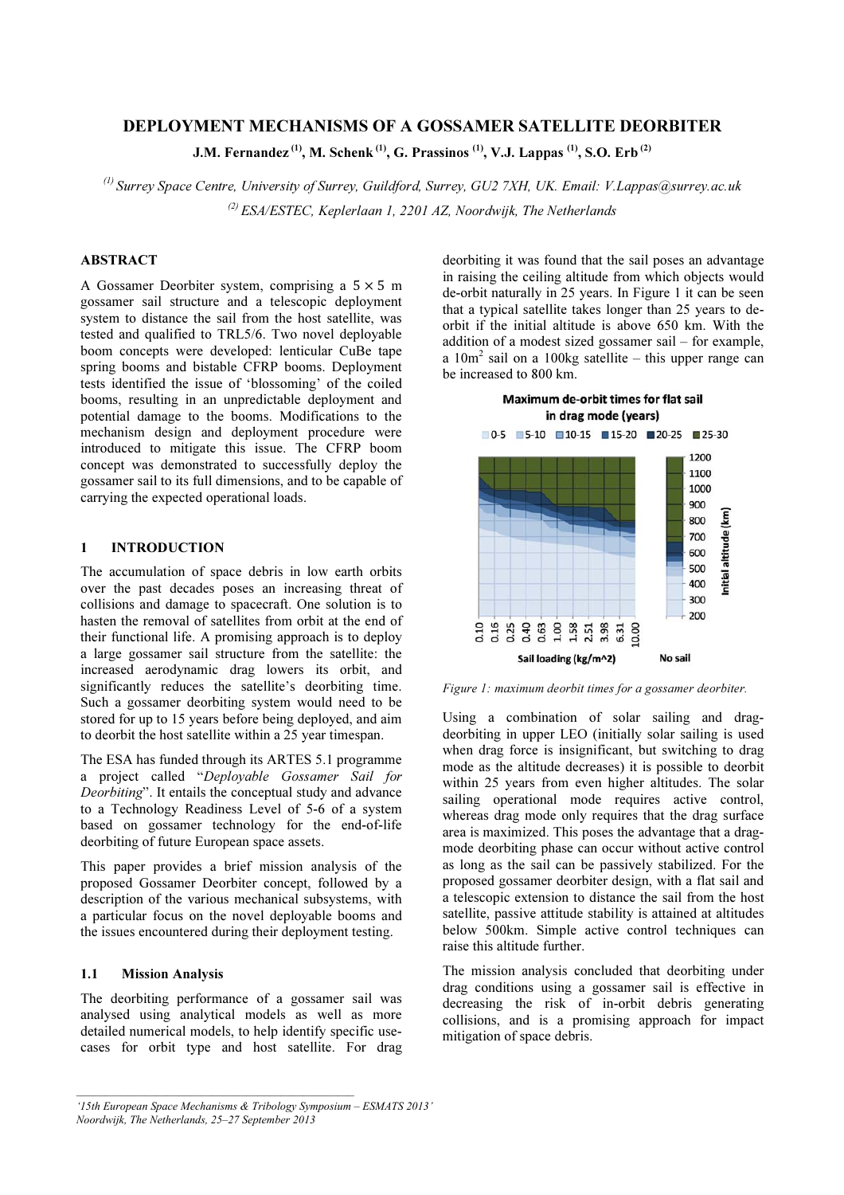# DEPLOYMENT MECHANISMS OF A GOSSAMER SATELLITE DEORBITER

J.M. Fernandez<sup>(1)</sup>, M. Schenk<sup>(1)</sup>, G. Prassinos<sup>(1)</sup>, V.J. Lappas<sup>(1)</sup>, S.O. Erb<sup>(2)</sup>

(1) *Surrey Space Centre, University of Surrey, Guildford, Surrey, GU2 7XH, UK. Email: V.Lappas@surrey.ac.uk*  (2) *ESA/ESTEC, Keplerlaan 1, 2201 AZ, Noordwijk, The Netherlands* 

## **ABSTRACT**

A Gossamer Deorbiter system, comprising a  $5 \times 5$  m gossamer sail structure and a telescopic deployment system to distance the sail from the host satellite, was tested and qualified to TRL5/6. Two novel deployable boom concepts were developed: lenticular CuBe tape spring booms and bistable CFRP booms. Deployment tests identified the issue of 'blossoming' of the coiled booms, resulting in an unpredictable deployment and potential damage to the booms. Modifications to the mechanism design and deployment procedure were introduced to mitigate this issue. The CFRP boom concept was demonstrated to successfully deploy the gossamer sail to its full dimensions, and to be capable of carrying the expected operational loads.

#### 1 INTRODUCTION

The accumulation of space debris in low earth orbits over the past decades poses an increasing threat of collisions and damage to spacecraft. One solution is to hasten the removal of satellites from orbit at the end of their functional life. A promising approach is to deploy a large gossamer sail structure from the satellite: the increased aerodynamic drag lowers its orbit, and significantly reduces the satellite's deorbiting time. Such a gossamer deorbiting system would need to be stored for up to 15 years before being deployed, and aim to deorbit the host satellite within a 25 year timespan.

The ESA has funded through its ARTES 5.1 programme a project called "*Deployable Gossamer Sail for Deorbiting*". It entails the conceptual study and advance to a Technology Readiness Level of 5-6 of a system based on gossamer technology for the end-of-life deorbiting of future European space assets.

This paper provides a brief mission analysis of the proposed Gossamer Deorbiter concept, followed by a description of the various mechanical subsystems, with a particular focus on the novel deployable booms and the issues encountered during their deployment testing.

## 1.1 Mission Analysis

The deorbiting performance of a gossamer sail was analysed using analytical models as well as more detailed numerical models, to help identify specific usecases for orbit type and host satellite. For drag

 $\mathcal{L}_\mathcal{L} = \{ \mathcal{L}_\mathcal{L} = \{ \mathcal{L}_\mathcal{L} \}$ 

deorbiting it was found that the sail poses an advantage in raising the ceiling altitude from which objects would de-orbit naturally in 25 years. In Figure 1 it can be seen that a typical satellite takes longer than 25 years to deorbit if the initial altitude is above 650 km. With the addition of a modest sized gossamer sail – for example, a  $10m^2$  sail on a 100kg satellite – this upper range can be increased to 800 km.



*Figure 1: maximum deorbit times for a gossamer deorbiter.* 

Using a combination of solar sailing and dragdeorbiting in upper LEO (initially solar sailing is used when drag force is insignificant, but switching to drag mode as the altitude decreases) it is possible to deorbit within 25 years from even higher altitudes. The solar sailing operational mode requires active control, whereas drag mode only requires that the drag surface area is maximized. This poses the advantage that a dragmode deorbiting phase can occur without active control as long as the sail can be passively stabilized. For the proposed gossamer deorbiter design, with a flat sail and a telescopic extension to distance the sail from the host satellite, passive attitude stability is attained at altitudes below 500km. Simple active control techniques can raise this altitude further.

The mission analysis concluded that deorbiting under drag conditions using a gossamer sail is effective in decreasing the risk of in-orbit debris generating collisions, and is a promising approach for impact mitigation of space debris.

*<sup>&#</sup>x27;15th European Space Mechanisms & Tribology Symposium – ESMATS 2013' Noordwijk, The Netherlands, 25–27 September 2013*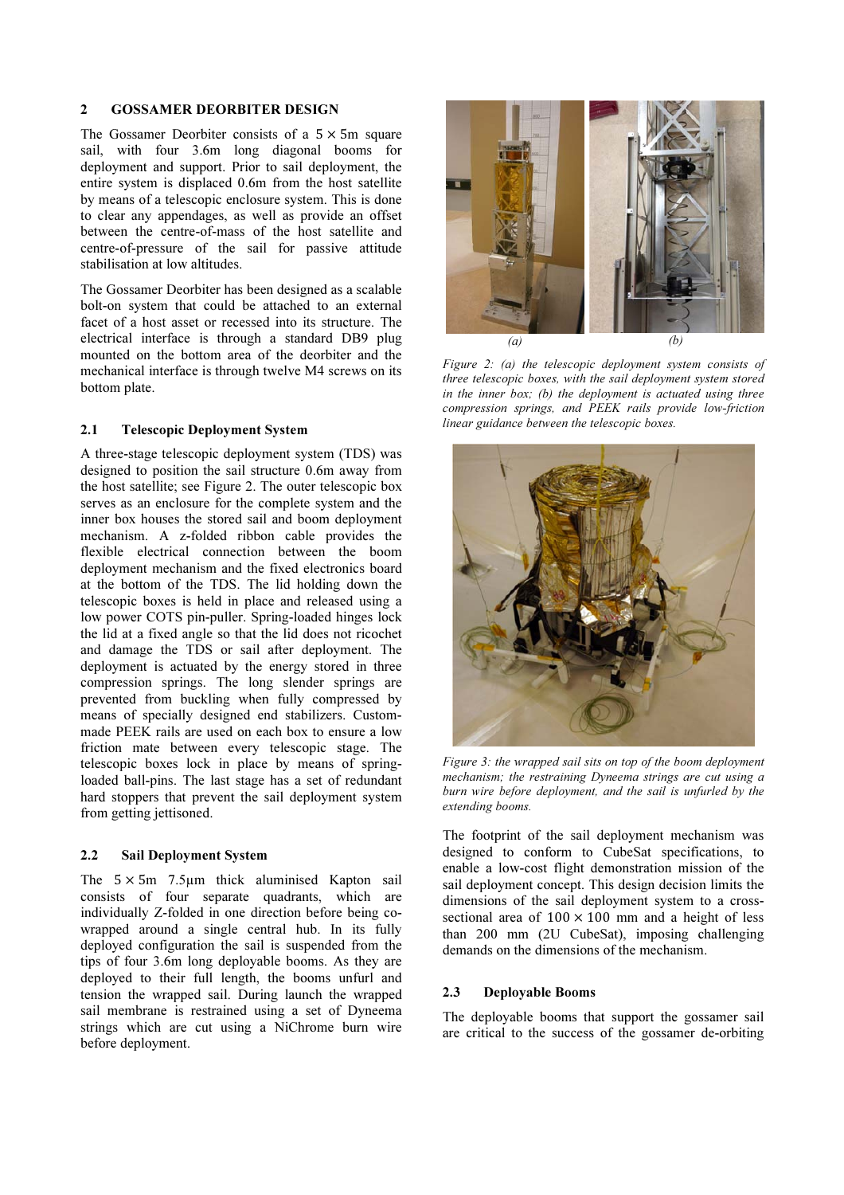#### 2 GOSSAMER DEORBITER DESIGN

The Gossamer Deorbiter consists of a  $5 \times 5m$  square sail, with four 3.6m long diagonal booms for deployment and support. Prior to sail deployment, the entire system is displaced 0.6m from the host satellite by means of a telescopic enclosure system. This is done to clear any appendages, as well as provide an offset between the centre-of-mass of the host satellite and centre-of-pressure of the sail for passive attitude stabilisation at low altitudes.

The Gossamer Deorbiter has been designed as a scalable bolt-on system that could be attached to an external facet of a host asset or recessed into its structure. The electrical interface is through a standard DB9 plug mounted on the bottom area of the deorbiter and the mechanical interface is through twelve M4 screws on its bottom plate.

## 2.1 Telescopic Deployment System

A three-stage telescopic deployment system (TDS) was designed to position the sail structure 0.6m away from the host satellite; see Figure 2. The outer telescopic box serves as an enclosure for the complete system and the inner box houses the stored sail and boom deployment mechanism. A z-folded ribbon cable provides the flexible electrical connection between the boom deployment mechanism and the fixed electronics board at the bottom of the TDS. The lid holding down the telescopic boxes is held in place and released using a low power COTS pin-puller. Spring-loaded hinges lock the lid at a fixed angle so that the lid does not ricochet and damage the TDS or sail after deployment. The deployment is actuated by the energy stored in three compression springs. The long slender springs are prevented from buckling when fully compressed by means of specially designed end stabilizers. Custommade PEEK rails are used on each box to ensure a low friction mate between every telescopic stage. The telescopic boxes lock in place by means of springloaded ball-pins. The last stage has a set of redundant hard stoppers that prevent the sail deployment system from getting jettisoned.

## 2.2 Sail Deployment System

The  $5 \times 5m$  7.5 µm thick aluminised Kapton sail consists of four separate quadrants, which are individually Z-folded in one direction before being cowrapped around a single central hub. In its fully deployed configuration the sail is suspended from the tips of four 3.6m long deployable booms. As they are deployed to their full length, the booms unfurl and tension the wrapped sail. During launch the wrapped sail membrane is restrained using a set of Dyneema strings which are cut using a NiChrome burn wire before deployment.



*Figure 2: (a) the telescopic deployment system consists of three telescopic boxes, with the sail deployment system stored in the inner box; (b) the deployment is actuated using three compression springs, and PEEK rails provide low-friction linear guidance between the telescopic boxes.* 



*Figure 3: the wrapped sail sits on top of the boom deployment mechanism; the restraining Dyneema strings are cut using a burn wire before deployment, and the sail is unfurled by the extending booms.* 

The footprint of the sail deployment mechanism was designed to conform to CubeSat specifications, to enable a low-cost flight demonstration mission of the sail deployment concept. This design decision limits the dimensions of the sail deployment system to a crosssectional area of  $100 \times 100$  mm and a height of less than 200 mm (2U CubeSat), imposing challenging demands on the dimensions of the mechanism.

## 2.3 Deployable Booms

The deployable booms that support the gossamer sail are critical to the success of the gossamer de-orbiting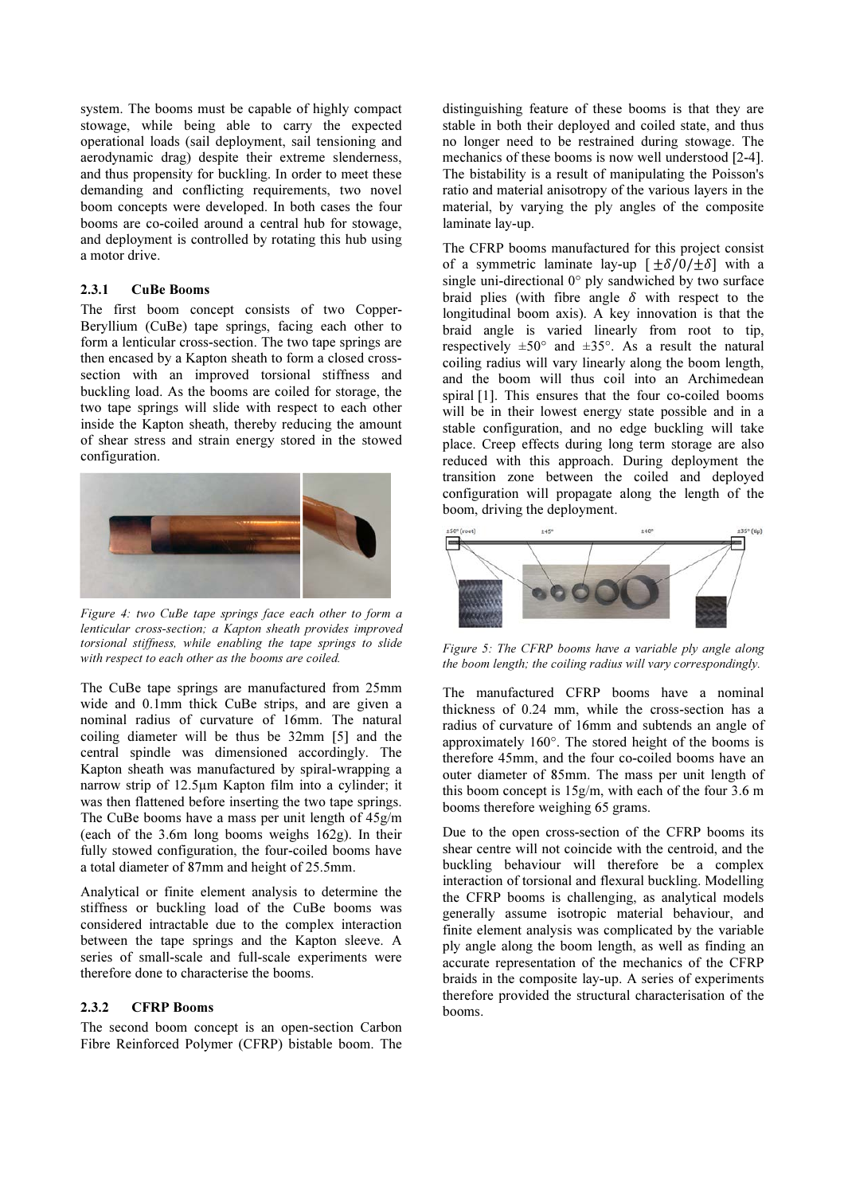system. The booms must be capable of highly compact stowage, while being able to carry the expected operational loads (sail deployment, sail tensioning and aerodynamic drag) despite their extreme slenderness, and thus propensity for buckling. In order to meet these demanding and conflicting requirements, two novel boom concepts were developed. In both cases the four booms are co-coiled around a central hub for stowage, and deployment is controlled by rotating this hub using a motor drive.

#### 2.3.1 CuBe Booms

The first boom concept consists of two Copper-Beryllium (CuBe) tape springs, facing each other to form a lenticular cross-section. The two tape springs are then encased by a Kapton sheath to form a closed crosssection with an improved torsional stiffness and buckling load. As the booms are coiled for storage, the two tape springs will slide with respect to each other inside the Kapton sheath, thereby reducing the amount of shear stress and strain energy stored in the stowed configuration.



*Figure 4: two CuBe tape springs face each other to form a lenticular cross-section; a Kapton sheath provides improved torsional stiffness, while enabling the tape springs to slide with respect to each other as the booms are coiled.* 

The CuBe tape springs are manufactured from 25mm wide and 0.1mm thick CuBe strips, and are given a nominal radius of curvature of 16mm. The natural coiling diameter will be thus be 32mm [5] and the central spindle was dimensioned accordingly. The Kapton sheath was manufactured by spiral-wrapping a narrow strip of 12.5µm Kapton film into a cylinder; it was then flattened before inserting the two tape springs. The CuBe booms have a mass per unit length of 45g/m (each of the 3.6m long booms weighs 162g). In their fully stowed configuration, the four-coiled booms have a total diameter of 87mm and height of 25.5mm.

Analytical or finite element analysis to determine the stiffness or buckling load of the CuBe booms was considered intractable due to the complex interaction between the tape springs and the Kapton sleeve. A series of small-scale and full-scale experiments were therefore done to characterise the booms.

#### 2.3.2 CFRP Booms

The second boom concept is an open-section Carbon Fibre Reinforced Polymer (CFRP) bistable boom. The distinguishing feature of these booms is that they are stable in both their deployed and coiled state, and thus no longer need to be restrained during stowage. The mechanics of these booms is now well understood [2-4]. The bistability is a result of manipulating the Poisson's ratio and material anisotropy of the various layers in the material, by varying the ply angles of the composite laminate lay-up.

The CFRP booms manufactured for this project consist of a symmetric laminate lay-up  $[\pm \delta/0/\pm \delta]$  with a single uni-directional 0° ply sandwiched by two surface braid plies (with fibre angle  $\delta$  with respect to the longitudinal boom axis). A key innovation is that the braid angle is varied linearly from root to tip, respectively  $\pm 50^{\circ}$  and  $\pm 35^{\circ}$ . As a result the natural coiling radius will vary linearly along the boom length, and the boom will thus coil into an Archimedean spiral [1]. This ensures that the four co-coiled booms will be in their lowest energy state possible and in a stable configuration, and no edge buckling will take place. Creep effects during long term storage are also reduced with this approach. During deployment the transition zone between the coiled and deployed configuration will propagate along the length of the boom, driving the deployment.



*Figure 5: The CFRP booms have a variable ply angle along the boom length; the coiling radius will vary correspondingly.* 

The manufactured CFRP booms have a nominal thickness of 0.24 mm, while the cross-section has a radius of curvature of 16mm and subtends an angle of approximately 160°. The stored height of the booms is therefore 45mm, and the four co-coiled booms have an outer diameter of 85mm. The mass per unit length of this boom concept is 15g/m, with each of the four 3.6 m booms therefore weighing 65 grams.

Due to the open cross-section of the CFRP booms its shear centre will not coincide with the centroid, and the buckling behaviour will therefore be a complex interaction of torsional and flexural buckling. Modelling the CFRP booms is challenging, as analytical models generally assume isotropic material behaviour, and finite element analysis was complicated by the variable ply angle along the boom length, as well as finding an accurate representation of the mechanics of the CFRP braids in the composite lay-up. A series of experiments therefore provided the structural characterisation of the booms.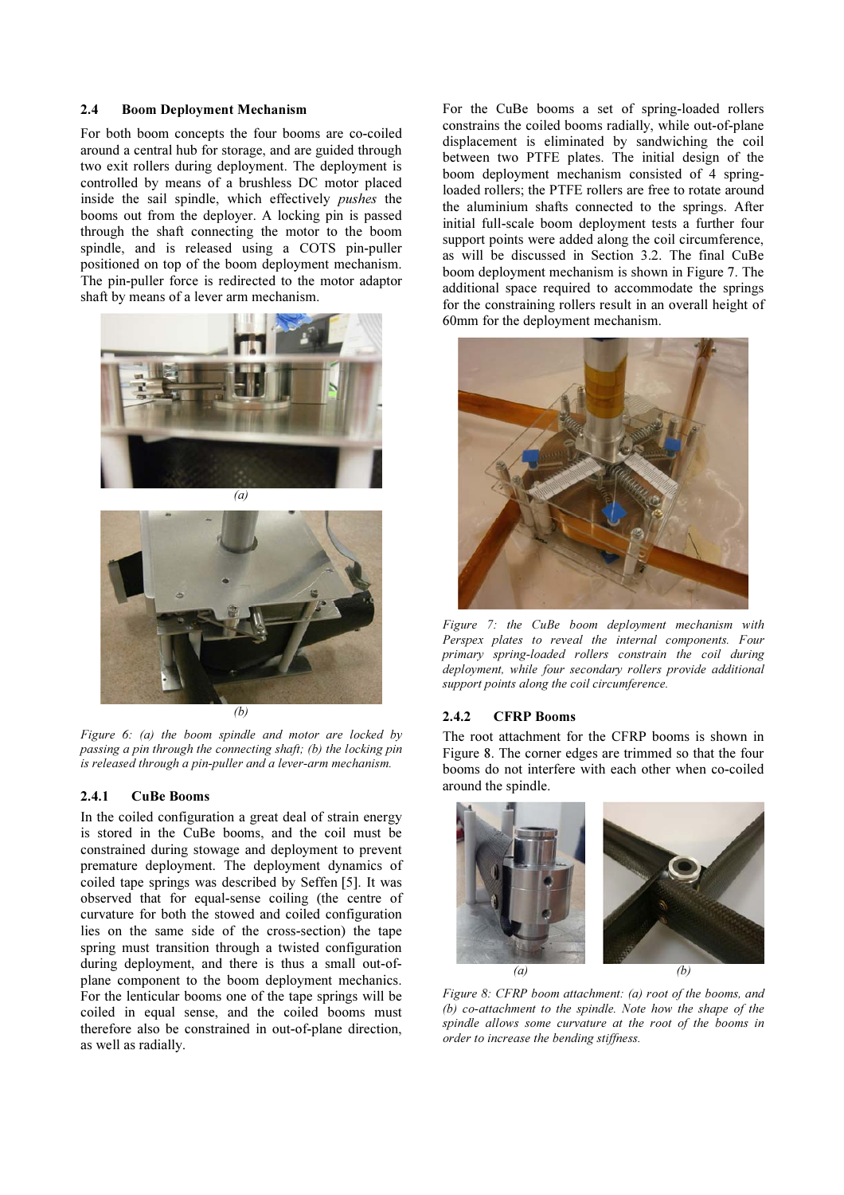#### 2.4 Boom Deployment Mechanism

For both boom concepts the four booms are co-coiled around a central hub for storage, and are guided through two exit rollers during deployment. The deployment is controlled by means of a brushless DC motor placed inside the sail spindle, which effectively *pushes* the booms out from the deployer. A locking pin is passed through the shaft connecting the motor to the boom spindle, and is released using a COTS pin-puller positioned on top of the boom deployment mechanism. The pin-puller force is redirected to the motor adaptor shaft by means of a lever arm mechanism.



*(b)* 

*Figure 6: (a) the boom spindle and motor are locked by passing a pin through the connecting shaft; (b) the locking pin is released through a pin-puller and a lever-arm mechanism.* 

#### 2.4.1 CuBe Booms

In the coiled configuration a great deal of strain energy is stored in the CuBe booms, and the coil must be constrained during stowage and deployment to prevent premature deployment. The deployment dynamics of coiled tape springs was described by Seffen [5]. It was observed that for equal-sense coiling (the centre of curvature for both the stowed and coiled configuration lies on the same side of the cross-section) the tape spring must transition through a twisted configuration during deployment, and there is thus a small out-ofplane component to the boom deployment mechanics. For the lenticular booms one of the tape springs will be coiled in equal sense, and the coiled booms must therefore also be constrained in out-of-plane direction, as well as radially.

For the CuBe booms a set of spring-loaded rollers constrains the coiled booms radially, while out-of-plane displacement is eliminated by sandwiching the coil between two PTFE plates. The initial design of the boom deployment mechanism consisted of 4 springloaded rollers; the PTFE rollers are free to rotate around the aluminium shafts connected to the springs. After initial full-scale boom deployment tests a further four support points were added along the coil circumference, as will be discussed in Section 3.2. The final CuBe boom deployment mechanism is shown in Figure 7. The additional space required to accommodate the springs for the constraining rollers result in an overall height of 60mm for the deployment mechanism.



*Figure 7: the CuBe boom deployment mechanism with Perspex plates to reveal the internal components. Four primary spring-loaded rollers constrain the coil during deployment, while four secondary rollers provide additional support points along the coil circumference.* 

#### 2.4.2 CFRP Booms

The root attachment for the CFRP booms is shown in Figure 8. The corner edges are trimmed so that the four booms do not interfere with each other when co-coiled around the spindle.



*Figure 8: CFRP boom attachment: (a) root of the booms, and (b) co-attachment to the spindle. Note how the shape of the spindle allows some curvature at the root of the booms in order to increase the bending stiffness.*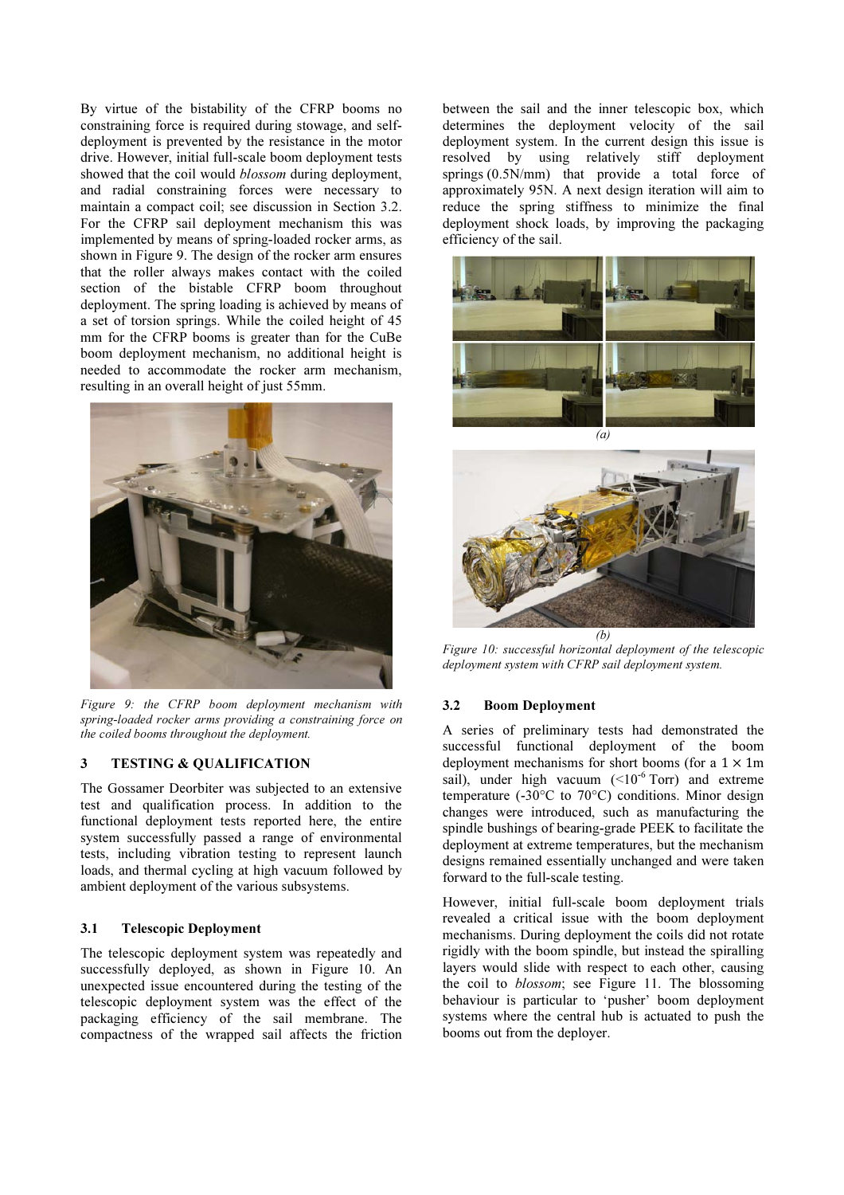By virtue of the bistability of the CFRP booms no constraining force is required during stowage, and selfdeployment is prevented by the resistance in the motor drive. However, initial full-scale boom deployment tests showed that the coil would *blossom* during deployment, and radial constraining forces were necessary to maintain a compact coil; see discussion in Section 3.2. For the CFRP sail deployment mechanism this was implemented by means of spring-loaded rocker arms, as shown in Figure 9. The design of the rocker arm ensures that the roller always makes contact with the coiled section of the bistable CFRP boom throughout deployment. The spring loading is achieved by means of a set of torsion springs. While the coiled height of 45 mm for the CFRP booms is greater than for the CuBe boom deployment mechanism, no additional height is needed to accommodate the rocker arm mechanism, resulting in an overall height of just 55mm.



*Figure 9: the CFRP boom deployment mechanism with spring-loaded rocker arms providing a constraining force on the coiled booms throughout the deployment.* 

## 3 TESTING & QUALIFICATION

The Gossamer Deorbiter was subjected to an extensive test and qualification process. In addition to the functional deployment tests reported here, the entire system successfully passed a range of environmental tests, including vibration testing to represent launch loads, and thermal cycling at high vacuum followed by ambient deployment of the various subsystems.

## 3.1 Telescopic Deployment

The telescopic deployment system was repeatedly and successfully deployed, as shown in Figure 10. An unexpected issue encountered during the testing of the telescopic deployment system was the effect of the packaging efficiency of the sail membrane. The compactness of the wrapped sail affects the friction between the sail and the inner telescopic box, which determines the deployment velocity of the sail deployment system. In the current design this issue is resolved by using relatively stiff deployment springs (0.5N/mm) that provide a total force of approximately 95N. A next design iteration will aim to reduce the spring stiffness to minimize the final deployment shock loads, by improving the packaging efficiency of the sail.





*Figure 10: successful horizontal deployment of the telescopic deployment system with CFRP sail deployment system.* 

## 3.2 Boom Deployment

A series of preliminary tests had demonstrated the successful functional deployment of the boom deployment mechanisms for short booms (for a  $1 \times 1m$ sail), under high vacuum  $\left($  <10<sup>-6</sup> Torr) and extreme temperature (-30 $\degree$ C to 70 $\degree$ C) conditions. Minor design changes were introduced, such as manufacturing the spindle bushings of bearing-grade PEEK to facilitate the deployment at extreme temperatures, but the mechanism designs remained essentially unchanged and were taken forward to the full-scale testing.

However, initial full-scale boom deployment trials revealed a critical issue with the boom deployment mechanisms. During deployment the coils did not rotate rigidly with the boom spindle, but instead the spiralling layers would slide with respect to each other, causing the coil to *blossom*; see Figure 11. The blossoming behaviour is particular to 'pusher' boom deployment systems where the central hub is actuated to push the booms out from the deployer.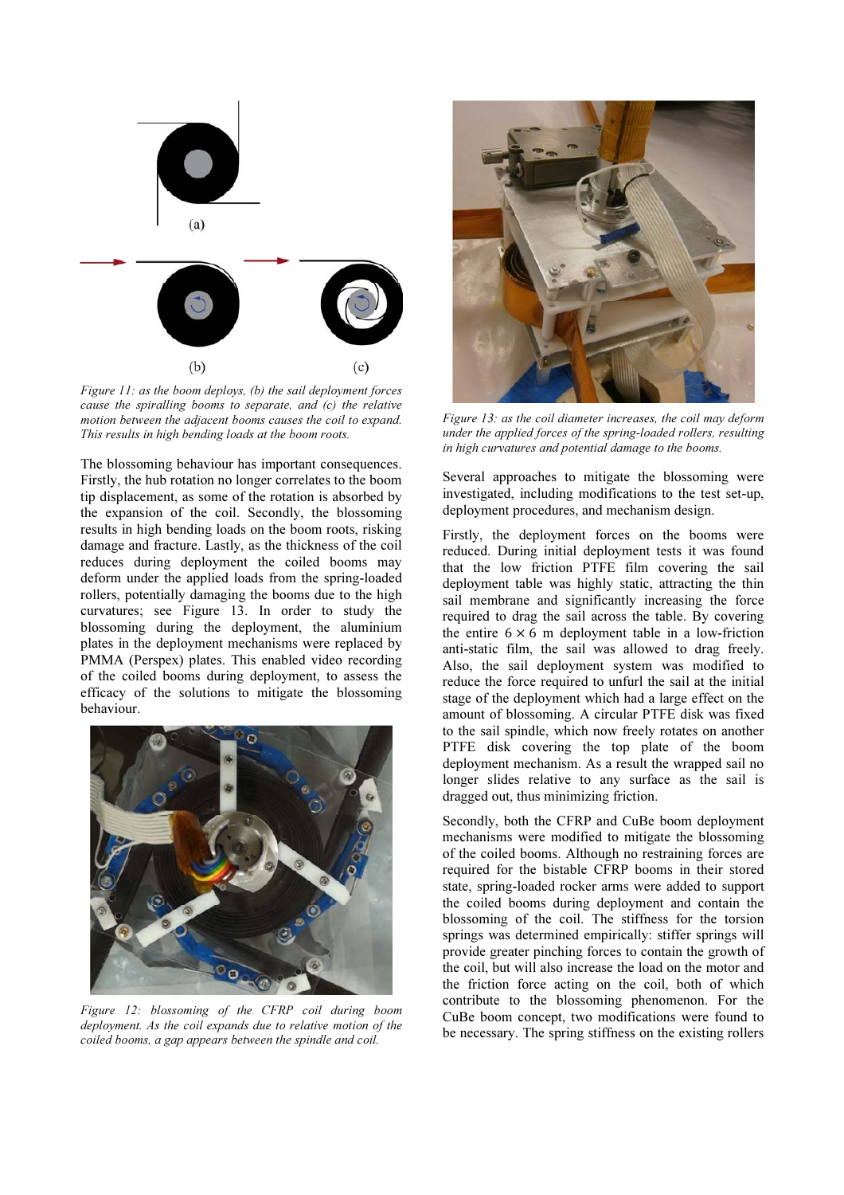

*Figure 11: as the boom deploys, (b) the sail deployment forces cause the spiralling booms to separate, and (c) the relative motion between the adjacent booms causes the coil to expand. This results in high bending loads at the boom roots.* 

The blossoming behaviour has important consequences. Firstly, the hub rotation no longer correlates to the boom tip displacement, as some of the rotation is absorbed by the expansion of the coil. Secondly, the blossoming results in high bending loads on the boom roots, risking damage and fracture. Lastly, as the thickness of the coil reduces during deployment the coiled booms may deform under the applied loads from the spring-loaded rollers, potentially damaging the booms due to the high curvatures; see Figure 13. In order to study the blossoming during the deployment, the aluminium plates in the deployment mechanisms were replaced by PMMA (Perspex) plates. This enabled video recording of the coiled booms during deployment, to assess the efficacy of the solutions to mitigate the blossoming behaviour.



*Figure 12: blossoming of the CFRP coil during boom deployment. As the coil expands due to relative motion of the coiled booms, a gap appears between the spindle and coil.* 



*Figure 13: as the coil diameter increases, the coil may deform under the applied forces of the spring-loaded rollers, resulting in high curvatures and potential damage to the booms.* 

Several approaches to mitigate the blossoming were investigated, including modifications to the test set-up, deployment procedures, and mechanism design.

Firstly, the deployment forces on the booms were reduced. During initial deployment tests it was found that the low friction PTFE film covering the sail deployment table was highly static, attracting the thin sail membrane and significantly increasing the force required to drag the sail across the table. By covering the entire  $6 \times 6$  m deployment table in a low-friction anti-static film, the sail was allowed to drag freely. Also, the sail deployment system was modified to reduce the force required to unfurl the sail at the initial stage of the deployment which had a large effect on the amount of blossoming. A circular PTFE disk was fixed to the sail spindle, which now freely rotates on another PTFE disk covering the top plate of the boom deployment mechanism. As a result the wrapped sail no longer slides relative to any surface as the sail is dragged out, thus minimizing friction.

Secondly, both the CFRP and CuBe boom deployment mechanisms were modified to mitigate the blossoming of the coiled booms. Although no restraining forces are required for the bistable CFRP booms in their stored state, spring-loaded rocker arms were added to support the coiled booms during deployment and contain the blossoming of the coil. The stiffness for the torsion springs was determined empirically: stiffer springs will provide greater pinching forces to contain the growth of the coil, but will also increase the load on the motor and the friction force acting on the coil, both of which contribute to the blossoming phenomenon. For the CuBe boom concept, two modifications were found to be necessary. The spring stiffness on the existing rollers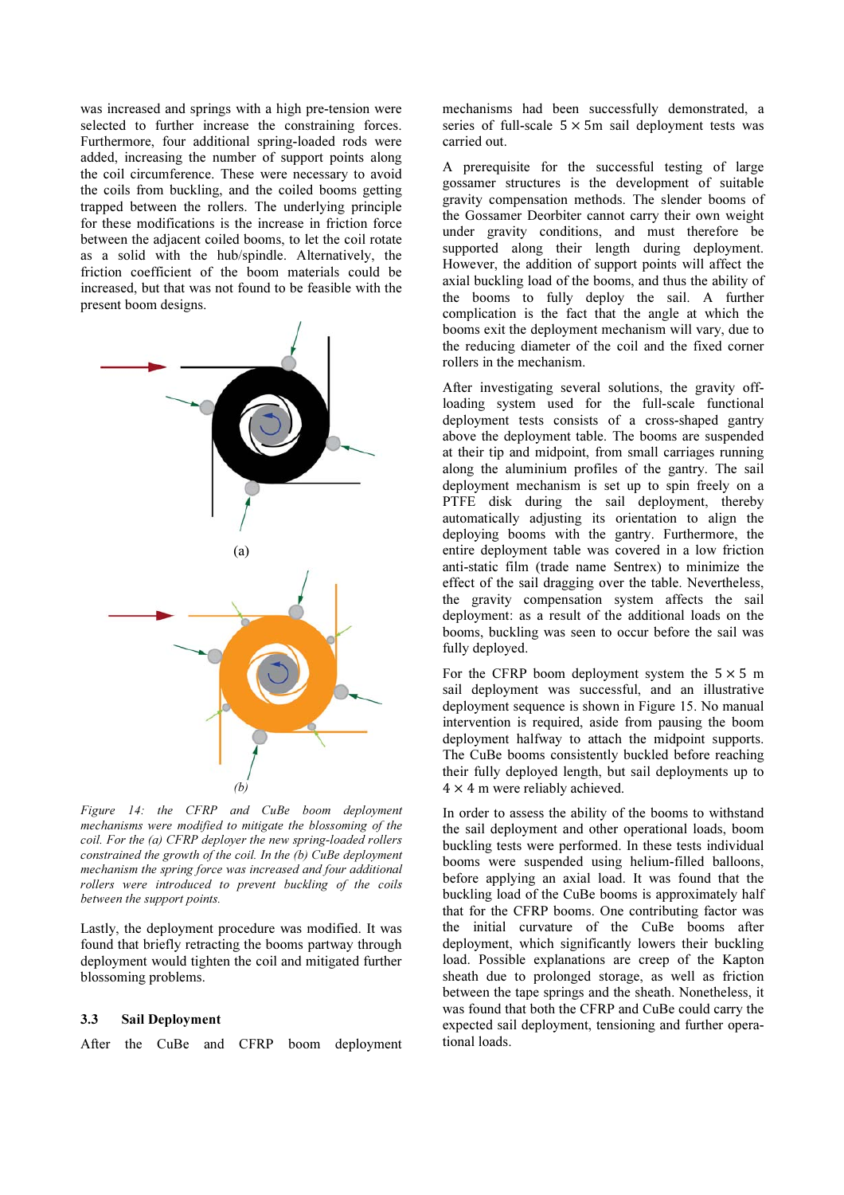was increased and springs with a high pre-tension were selected to further increase the constraining forces. Furthermore, four additional spring-loaded rods were added, increasing the number of support points along the coil circumference. These were necessary to avoid the coils from buckling, and the coiled booms getting trapped between the rollers. The underlying principle for these modifications is the increase in friction force between the adjacent coiled booms, to let the coil rotate as a solid with the hub/spindle. Alternatively, the friction coefficient of the boom materials could be increased, but that was not found to be feasible with the present boom designs.



*Figure 14: the CFRP and CuBe boom deployment mechanisms were modified to mitigate the blossoming of the coil. For the (a) CFRP deployer the new spring-loaded rollers constrained the growth of the coil. In the (b) CuBe deployment mechanism the spring force was increased and four additional rollers were introduced to prevent buckling of the coils between the support points.* 

Lastly, the deployment procedure was modified. It was found that briefly retracting the booms partway through deployment would tighten the coil and mitigated further blossoming problems.

## 3.3 Sail Deployment

After the CuBe and CFRP boom deployment

mechanisms had been successfully demonstrated, a series of full-scale  $5 \times 5m$  sail deployment tests was carried out.

A prerequisite for the successful testing of large gossamer structures is the development of suitable gravity compensation methods. The slender booms of the Gossamer Deorbiter cannot carry their own weight under gravity conditions, and must therefore be supported along their length during deployment. However, the addition of support points will affect the axial buckling load of the booms, and thus the ability of the booms to fully deploy the sail. A further complication is the fact that the angle at which the booms exit the deployment mechanism will vary, due to the reducing diameter of the coil and the fixed corner rollers in the mechanism.

After investigating several solutions, the gravity offloading system used for the full-scale functional deployment tests consists of a cross-shaped gantry above the deployment table. The booms are suspended at their tip and midpoint, from small carriages running along the aluminium profiles of the gantry. The sail deployment mechanism is set up to spin freely on a PTFE disk during the sail deployment, thereby automatically adjusting its orientation to align the deploying booms with the gantry. Furthermore, the entire deployment table was covered in a low friction anti-static film (trade name Sentrex) to minimize the effect of the sail dragging over the table. Nevertheless, the gravity compensation system affects the sail deployment: as a result of the additional loads on the booms, buckling was seen to occur before the sail was fully deployed.

For the CFRP boom deployment system the  $5 \times 5$  m sail deployment was successful, and an illustrative deployment sequence is shown in Figure 15. No manual intervention is required, aside from pausing the boom deployment halfway to attach the midpoint supports. The CuBe booms consistently buckled before reaching their fully deployed length, but sail deployments up to  $4 \times 4$  m were reliably achieved.

In order to assess the ability of the booms to withstand the sail deployment and other operational loads, boom buckling tests were performed. In these tests individual booms were suspended using helium-filled balloons, before applying an axial load. It was found that the buckling load of the CuBe booms is approximately half that for the CFRP booms. One contributing factor was the initial curvature of the CuBe booms after deployment, which significantly lowers their buckling load. Possible explanations are creep of the Kapton sheath due to prolonged storage, as well as friction between the tape springs and the sheath. Nonetheless, it was found that both the CFRP and CuBe could carry the expected sail deployment, tensioning and further operational loads.